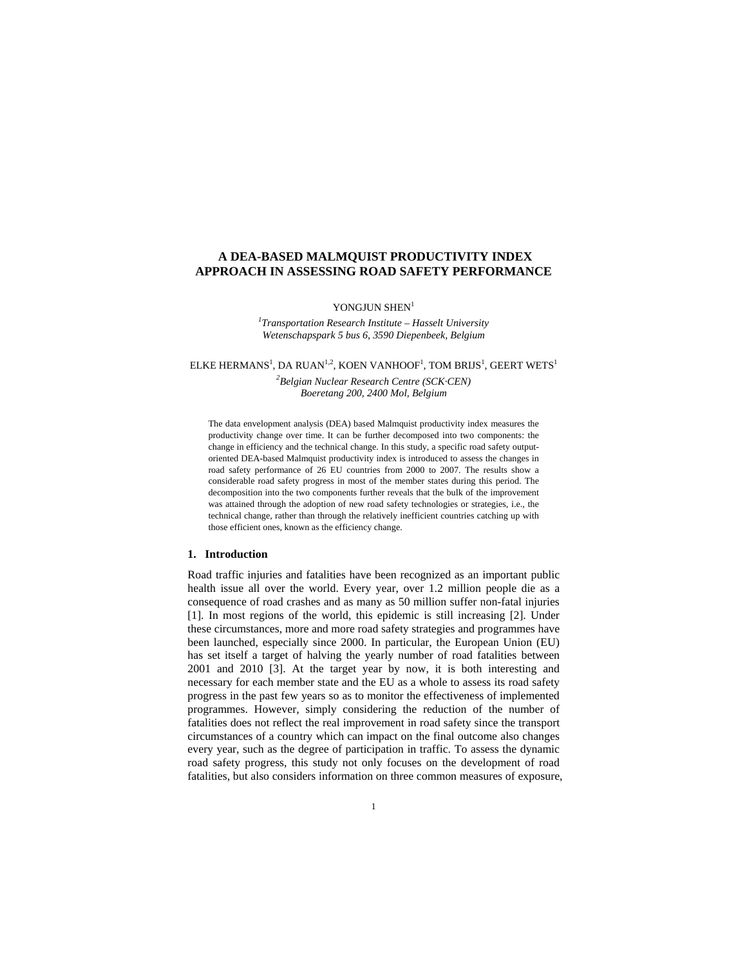# **A DEA-BASED MALMQUIST PRODUCTIVITY INDEX APPROACH IN ASSESSING ROAD SAFETY PERFORMANCE**

YONGHUN SHEN $1$ 

*1 Transportation Research Institute – Hasselt University Wetenschapspark 5 bus 6, 3590 Diepenbeek, Belgium*

ELKE HERMANS<sup>1</sup>, DA RUAN<sup>1,2</sup>, KOEN VANHOOF<sup>1</sup>, TOM BRIJS<sup>1</sup>, GEERT WETS<sup>1</sup>

*2 Belgian Nuclear Research Centre (SCK·CEN) Boeretang 200, 2400 Mol, Belgium* 

The data envelopment analysis (DEA) based Malmquist productivity index measures the productivity change over time. It can be further decomposed into two components: the change in efficiency and the technical change. In this study, a specific road safety outputoriented DEA-based Malmquist productivity index is introduced to assess the changes in road safety performance of 26 EU countries from 2000 to 2007. The results show a considerable road safety progress in most of the member states during this period. The decomposition into the two components further reveals that the bulk of the improvement was attained through the adoption of new road safety technologies or strategies, i.e., the technical change, rather than through the relatively inefficient countries catching up with those efficient ones, known as the efficiency change.

## **1. Introduction**

Road traffic injuries and fatalities have been recognized as an important public health issue all over the world. Every year, over 1.2 million people die as a consequence of road crashes and as many as 50 million suffer non-fatal injuries [1]. In most regions of the world, this epidemic is still increasing [2]. Under these circumstances, more and more road safety strategies and programmes have been launched, especially since 2000. In particular, the European Union (EU) has set itself a target of halving the yearly number of road fatalities between 2001 and 2010 [3]. At the target year by now, it is both interesting and necessary for each member state and the EU as a whole to assess its road safety progress in the past few years so as to monitor the effectiveness of implemented programmes. However, simply considering the reduction of the number of fatalities does not reflect the real improvement in road safety since the transport circumstances of a country which can impact on the final outcome also changes every year, such as the degree of participation in traffic. To assess the dynamic road safety progress, this study not only focuses on the development of road fatalities, but also considers information on three common measures of exposure,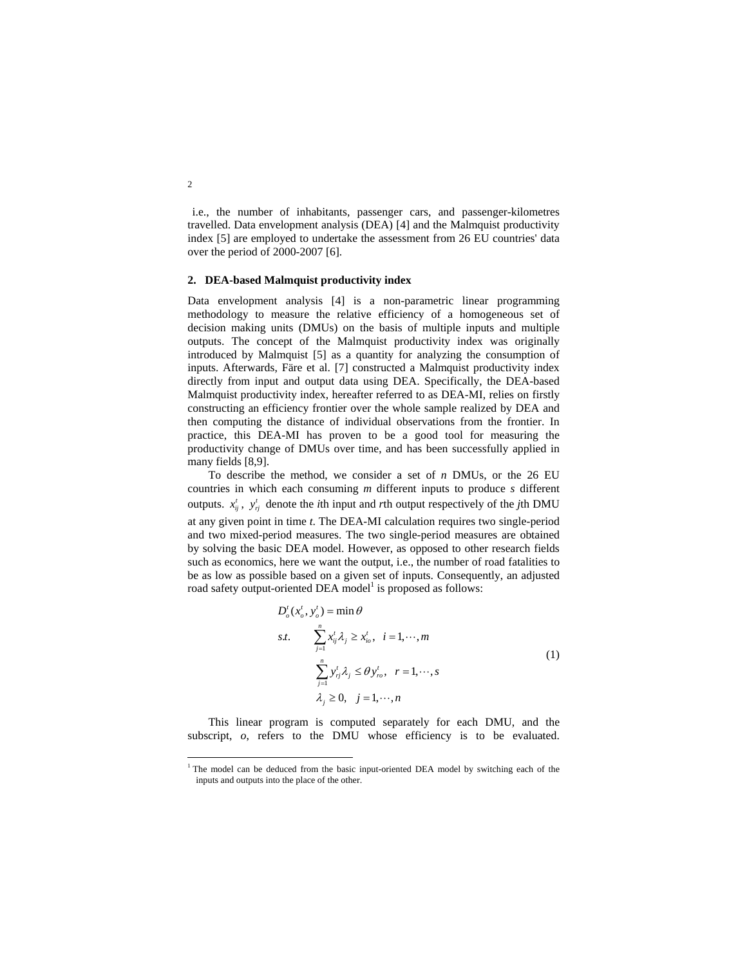i.e., the number of inhabitants, passenger cars, and passenger-kilometres travelled. Data envelopment analysis (DEA) [4] and the Malmquist productivity index [5] are employed to undertake the assessment from 26 EU countries' data over the period of 2000-2007 [6].

### **2. DEA-based Malmquist productivity index**

Data envelopment analysis [4] is a non-parametric linear programming methodology to measure the relative efficiency of a homogeneous set of decision making units (DMUs) on the basis of multiple inputs and multiple outputs. The concept of the Malmquist productivity index was originally introduced by Malmquist [5] as a quantity for analyzing the consumption of inputs. Afterwards, Färe et al. [7] constructed a Malmquist productivity index directly from input and output data using DEA. Specifically, the DEA-based Malmquist productivity index, hereafter referred to as DEA-MI, relies on firstly constructing an efficiency frontier over the whole sample realized by DEA and then computing the distance of individual observations from the frontier. In practice, this DEA-MI has proven to be a good tool for measuring the productivity change of DMUs over time, and has been successfully applied in many fields [8,9].

To describe the method, we consider a set of *n* DMUs, or the 26 EU countries in which each consuming *m* different inputs to produce *s* different outputs.  $x_{ij}^t$ ,  $y_{ij}^t$  denote the *i*th input and *r*th output respectively of the *j*th DMU at any given point in time *t*. The DEA-MI calculation requires two single-period and two mixed-period measures. The two single-period measures are obtained by solving the basic DEA model. However, as opposed to other research fields such as economics, here we want the output, i.e., the number of road fatalities to be as low as possible based on a given set of inputs. Consequently, an adjusted road safety output-oriented DEA model<sup>1</sup> is proposed as follows:

$$
D'_{o}(x'_{o}, y'_{o}) = \min \theta
$$
  
s.t. 
$$
\sum_{j=1}^{n} x'_{ij} \lambda_{j} \ge x'_{io}, \quad i = 1, \dots, m
$$

$$
\sum_{j=1}^{n} y'_{ij} \lambda_{j} \le \theta y'_{ro}, \quad r = 1, \dots, s
$$

$$
\lambda_{j} \ge 0, \quad j = 1, \dots, n
$$

$$
(1)
$$

This linear program is computed separately for each DMU, and the subscript,  $o$ , refers to the DMU whose efficiency is to be evaluated.

2

l

<sup>&</sup>lt;sup>1</sup> The model can be deduced from the basic input-oriented DEA model by switching each of the inputs and outputs into the place of the other.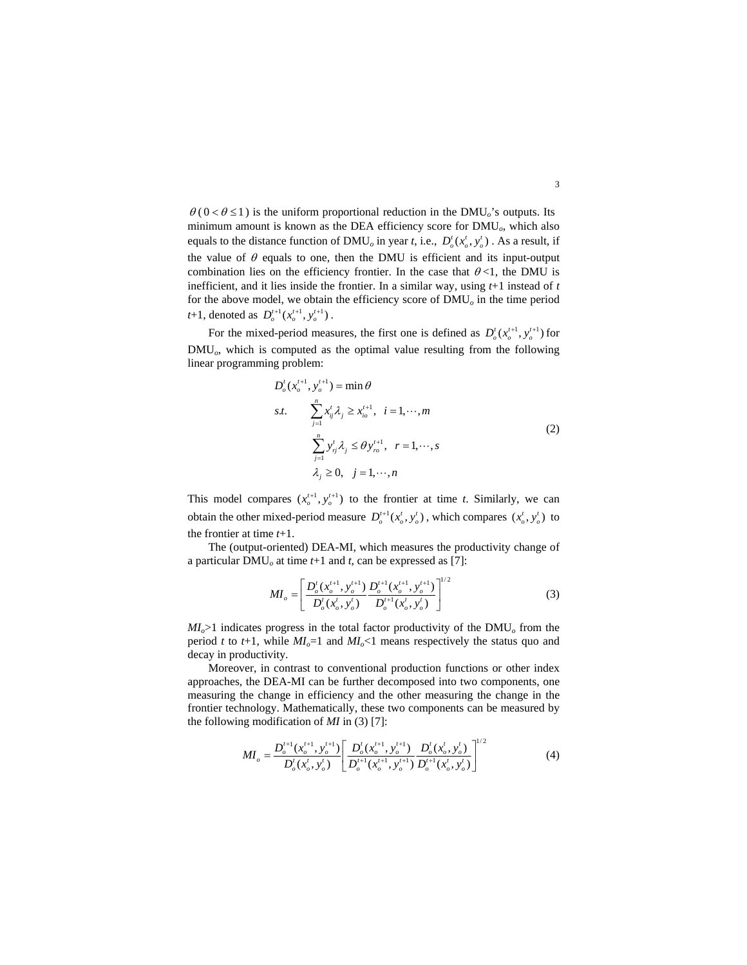$\theta$  ( 0 <  $\theta$  ≤ 1 ) is the uniform proportional reduction in the DMU<sub>o</sub>'s outputs. Its minimum amount is known as the DEA efficiency score for DMU*o*, which also equals to the distance function of DMU<sub>o</sub> in year *t*, i.e.,  $D'_{o}(x'_{o}, y'_{o})$ . As a result, if the value of  $\theta$  equals to one, then the DMU is efficient and its input-output combination lies on the efficiency frontier. In the case that  $\theta$ <1, the DMU is inefficient, and it lies inside the frontier. In a similar way, using *t*+1 instead of *t* for the above model, we obtain the efficiency score of DMU*o* in the time period *t*+1, denoted as  $D_o^{t+1}(x_o^{t+1}, y_o^{t+1})$ .

For the mixed-period measures, the first one is defined as  $D_o^t(x_o^{t+1}, y_o^{t+1})$  for DMU<sub>o</sub>, which is computed as the optimal value resulting from the following linear programming problem:

$$
D'_{o}(x_{o}^{t+1}, y_{o}^{t+1}) = \min \theta
$$
  
s.t. 
$$
\sum_{j=1}^{n} x_{ij}^{t} \lambda_{j} \ge x_{io}^{t+1}, \quad i = 1, \dots, m
$$

$$
\sum_{j=1}^{n} y_{ij}^{t} \lambda_{j} \le \theta y_{ro}^{t+1}, \quad r = 1, \dots, s
$$

$$
\lambda_{j} \ge 0, \quad j = 1, \dots, n
$$

$$
(2)
$$

This model compares  $(x_i^{t+1}, y_i^{t+1})$  to the frontier at time *t*. Similarly, we can obtain the other mixed-period measure  $D_o^{t+1}(x_o^t, y_o^t)$ , which compares  $(x_o^t, y_o^t)$  to the frontier at time *t*+1.

The (output-oriented) DEA-MI, which measures the productivity change of a particular DMU*o* at time *t*+1 and *t*, can be expressed as [7]:

$$
MI_o = \left[ \frac{D_o^t(x_o^{t+1}, y_o^{t+1})}{D_o^t(x_o^t, y_o^t)} \frac{D_o^{t+1}(x_o^{t+1}, y_o^{t+1})}{D_o^{t+1}(x_o^t, y_o^t)} \right]^{1/2}
$$
 (3)

*MI<sub>o</sub>*>1 indicates progress in the total factor productivity of the DMU<sub>o</sub> from the period *t* to  $t+1$ , while  $MI_o=1$  and  $MI_o<1$  means respectively the status quo and decay in productivity.

Moreover, in contrast to conventional production functions or other index approaches, the DEA-MI can be further decomposed into two components, one measuring the change in efficiency and the other measuring the change in the frontier technology. Mathematically, these two components can be measured by the following modification of *MI* in (3) [7]:

$$
MI_o = \frac{D_o^{t+1}(x_o^{t+1}, y_o^{t+1})}{D_o^t(x_o^t, y_o^t)} \left[ \frac{D_o^t(x_o^{t+1}, y_o^{t+1})}{D_o^{t+1}(x_o^{t+1}, y_o^{t+1})} \frac{D_o^t(x_o^t, y_o^t)}{D_o^{t+1}(x_o^t, y_o^t)} \right]^{1/2}
$$
(4)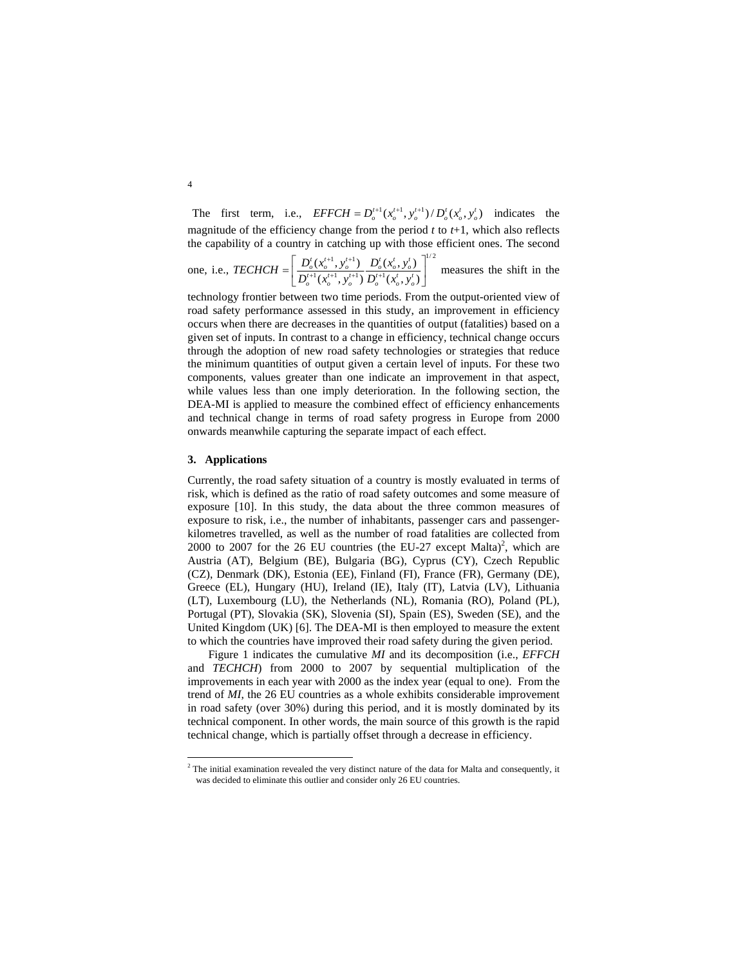The first term, i.e.,  $EFFCH = D_0^{t+1}(x_0^{t+1}, y_0^{t+1})/D_0^{t}(x_0^{t}, y_0^{t})$  indicates the magnitude of the efficiency change from the period  $t$  to  $t+1$ , which also reflects the capability of a country in catching up with those efficient ones. The second

one, i.e., 
$$
TECHCH = \left[ \frac{D_o^t(x_o^{t+1}, y_o^{t+1})}{D_o^{t+1}(x_o^{t+1}, y_o^{t+1})} \frac{D_o^t(x_o^t, y_o^t)}{D_o^{t+1}(x_o^t, y_o^t)} \right]^{1/2}
$$
 measures the shift in the

technology frontier between two time periods. From the output-oriented view of road safety performance assessed in this study, an improvement in efficiency occurs when there are decreases in the quantities of output (fatalities) based on a given set of inputs. In contrast to a change in efficiency, technical change occurs through the adoption of new road safety technologies or strategies that reduce the minimum quantities of output given a certain level of inputs. For these two components, values greater than one indicate an improvement in that aspect, while values less than one imply deterioration. In the following section, the DEA-MI is applied to measure the combined effect of efficiency enhancements and technical change in terms of road safety progress in Europe from 2000 onwards meanwhile capturing the separate impact of each effect.

#### **3. Applications**

l

Currently, the road safety situation of a country is mostly evaluated in terms of risk, which is defined as the ratio of road safety outcomes and some measure of exposure [10]. In this study, the data about the three common measures of exposure to risk, i.e., the number of inhabitants, passenger cars and passengerkilometres travelled, as well as the number of road fatalities are collected from 2000 to 2007 for the 26 EU countries (the EU-27 except Malta)<sup>2</sup>, which are Austria (AT), Belgium (BE), Bulgaria (BG), Cyprus (CY), Czech Republic (CZ), Denmark (DK), Estonia (EE), Finland (FI), France (FR), Germany (DE), Greece (EL), Hungary (HU), Ireland (IE), Italy (IT), Latvia (LV), Lithuania (LT), Luxembourg (LU), the Netherlands (NL), Romania (RO), Poland (PL), Portugal (PT), Slovakia (SK), Slovenia (SI), Spain (ES), Sweden (SE), and the United Kingdom (UK) [6]. The DEA-MI is then employed to measure the extent to which the countries have improved their road safety during the given period.

Figure 1 indicates the cumulative *MI* and its decomposition (i.e., *EFFCH* and *TECHCH*) from 2000 to 2007 by sequential multiplication of the improvements in each year with 2000 as the index year (equal to one). From the trend of *MI*, the 26 EU countries as a whole exhibits considerable improvement in road safety (over 30%) during this period, and it is mostly dominated by its technical component. In other words, the main source of this growth is the rapid technical change, which is partially offset through a decrease in efficiency.

4

 $2^2$  The initial examination revealed the very distinct nature of the data for Malta and consequently, it was decided to eliminate this outlier and consider only 26 EU countries.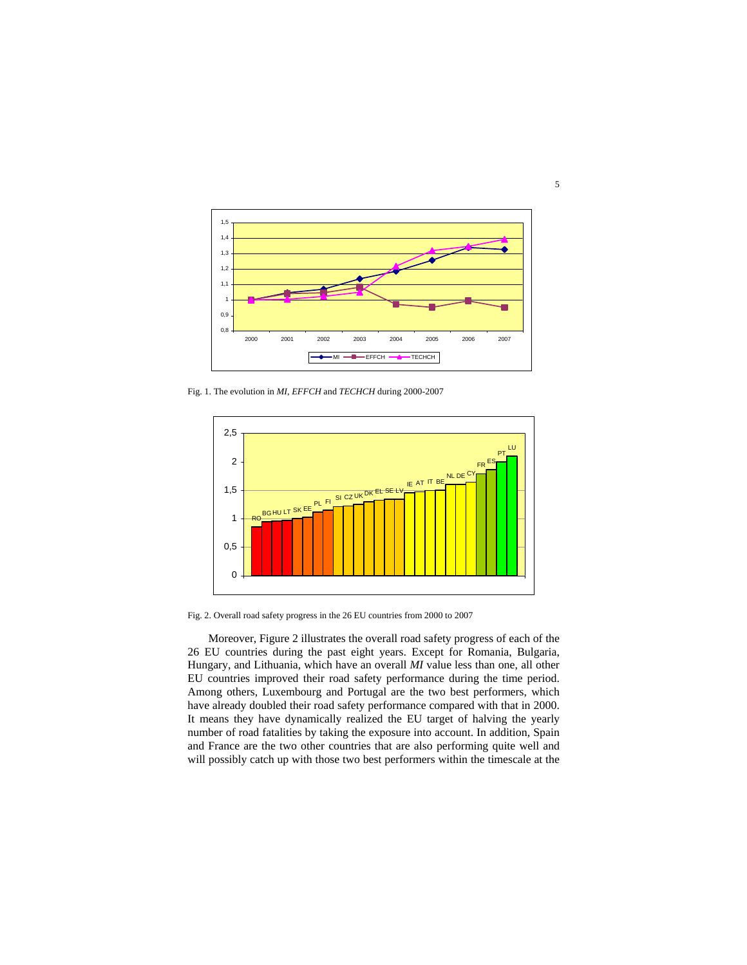

Fig. 1. The evolution in *MI*, *EFFCH* and *TECHCH* during 2000-2007



Fig. 2. Overall road safety progress in the 26 EU countries from 2000 to 2007

Moreover, Figure 2 illustrates the overall road safety progress of each of the 26 EU countries during the past eight years. Except for Romania, Bulgaria, Hungary, and Lithuania, which have an overall *MI* value less than one, all other EU countries improved their road safety performance during the time period. Among others, Luxembourg and Portugal are the two best performers, which have already doubled their road safety performance compared with that in 2000. It means they have dynamically realized the EU target of halving the yearly number of road fatalities by taking the exposure into account. In addition, Spain and France are the two other countries that are also performing quite well and will possibly catch up with those two best performers within the timescale at the